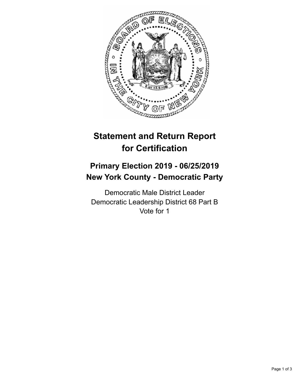

## **Statement and Return Report for Certification**

## **Primary Election 2019 - 06/25/2019 New York County - Democratic Party**

Democratic Male District Leader Democratic Leadership District 68 Part B Vote for 1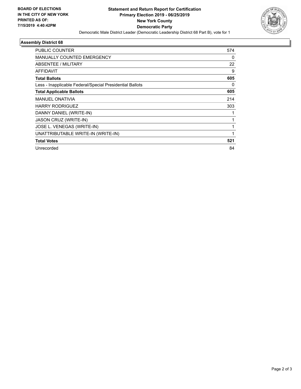

## **Assembly District 68**

| PUBLIC COUNTER                                           | 574 |
|----------------------------------------------------------|-----|
| <b>MANUALLY COUNTED EMERGENCY</b>                        | 0   |
| ABSENTEE / MILITARY                                      | 22  |
| AFFIDAVIT                                                | 9   |
| <b>Total Ballots</b>                                     | 605 |
| Less - Inapplicable Federal/Special Presidential Ballots | 0   |
| <b>Total Applicable Ballots</b>                          | 605 |
| <b>MANUEL ONATIVIA</b>                                   | 214 |
| <b>HARRY RODRIGUEZ</b>                                   | 303 |
| DANNY DANIEL (WRITE-IN)                                  |     |
| JASON CRUZ (WRITE-IN)                                    |     |
| JOSE L. VENEGAS (WRITE-IN)                               |     |
| UNATTRIBUTABLE WRITE-IN (WRITE-IN)                       |     |
| <b>Total Votes</b>                                       | 521 |
| Unrecorded                                               | 84  |